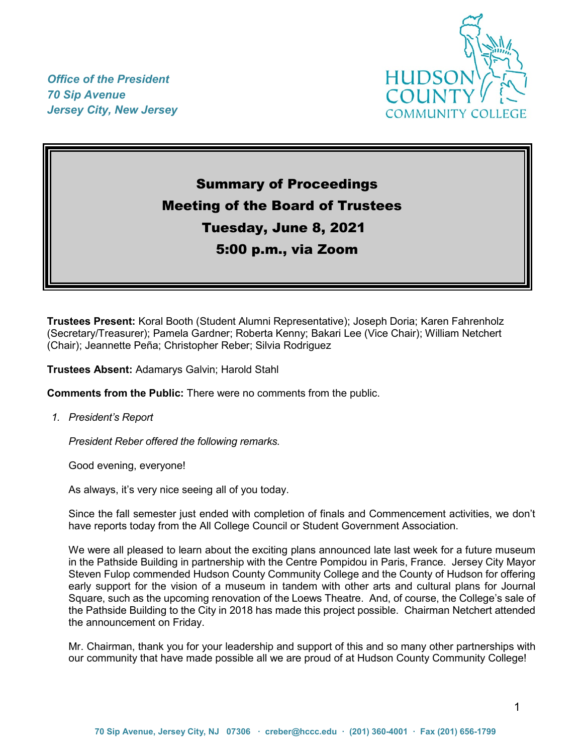*Office of the President 70 Sip Avenue Jersey City, New Jersey*



# Summary of Proceedings Meeting of the Board of Trustees Tuesday, June 8, 2021 5:00 p.m., via Zoom

**Trustees Present:** Koral Booth (Student Alumni Representative); Joseph Doria; Karen Fahrenholz (Secretary/Treasurer); Pamela Gardner; Roberta Kenny; Bakari Lee (Vice Chair); William Netchert (Chair); Jeannette Peña; Christopher Reber; Silvia Rodriguez

**Trustees Absent:** Adamarys Galvin; Harold Stahl

**Comments from the Public:** There were no comments from the public.

*1. President's Report*

*President Reber offered the following remarks.*

Good evening, everyone!

As always, it's very nice seeing all of you today.

Since the fall semester just ended with completion of finals and Commencement activities, we don't have reports today from the All College Council or Student Government Association.

We were all pleased to learn about the exciting plans announced late last week for a future museum in the Pathside Building in partnership with the Centre Pompidou in Paris, France. Jersey City Mayor Steven Fulop commended Hudson County Community College and the County of Hudson for offering early support for the vision of a museum in tandem with other arts and cultural plans for Journal Square, such as the upcoming renovation of the Loews Theatre. And, of course, the College's sale of the Pathside Building to the City in 2018 has made this project possible. Chairman Netchert attended the announcement on Friday.

Mr. Chairman, thank you for your leadership and support of this and so many other partnerships with our community that have made possible all we are proud of at Hudson County Community College!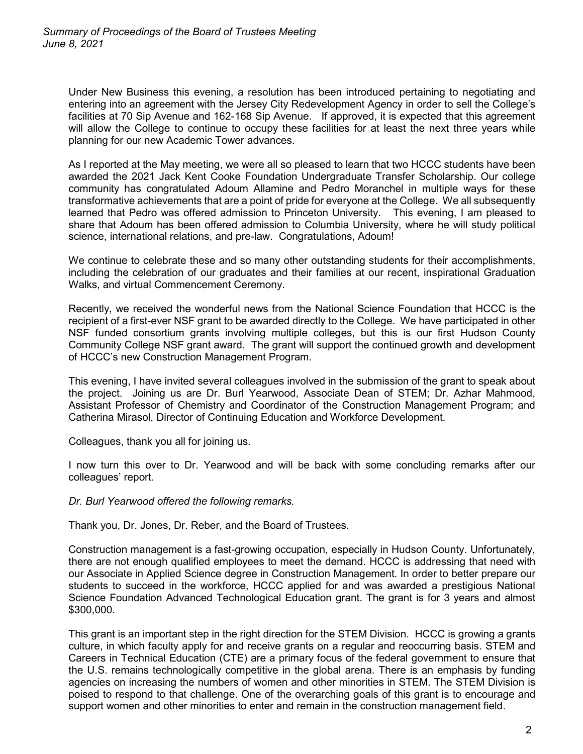Under New Business this evening, a resolution has been introduced pertaining to negotiating and entering into an agreement with the Jersey City Redevelopment Agency in order to sell the College's facilities at 70 Sip Avenue and 162-168 Sip Avenue. If approved, it is expected that this agreement will allow the College to continue to occupy these facilities for at least the next three years while planning for our new Academic Tower advances.

As I reported at the May meeting, we were all so pleased to learn that two HCCC students have been awarded the 2021 Jack Kent Cooke Foundation Undergraduate Transfer Scholarship. Our college community has congratulated Adoum Allamine and Pedro Moranchel in multiple ways for these transformative achievements that are a point of pride for everyone at the College. We all subsequently learned that Pedro was offered admission to Princeton University. This evening, I am pleased to share that Adoum has been offered admission to Columbia University, where he will study political science, international relations, and pre-law. Congratulations, Adoum!

We continue to celebrate these and so many other outstanding students for their accomplishments, including the celebration of our graduates and their families at our recent, inspirational Graduation Walks, and virtual Commencement Ceremony.

Recently, we received the wonderful news from the National Science Foundation that HCCC is the recipient of a first-ever NSF grant to be awarded directly to the College. We have participated in other NSF funded consortium grants involving multiple colleges, but this is our first Hudson County Community College NSF grant award. The grant will support the continued growth and development of HCCC's new Construction Management Program.

This evening, I have invited several colleagues involved in the submission of the grant to speak about the project. Joining us are Dr. Burl Yearwood, Associate Dean of STEM; Dr. Azhar Mahmood, Assistant Professor of Chemistry and Coordinator of the Construction Management Program; and Catherina Mirasol, Director of Continuing Education and Workforce Development.

Colleagues, thank you all for joining us.

I now turn this over to Dr. Yearwood and will be back with some concluding remarks after our colleagues' report.

#### *Dr. Burl Yearwood offered the following remarks.*

Thank you, Dr. Jones, Dr. Reber, and the Board of Trustees.

Construction management is a fast-growing occupation, especially in Hudson County. Unfortunately, there are not enough qualified employees to meet the demand. HCCC is addressing that need with our Associate in Applied Science degree in Construction Management. In order to better prepare our students to succeed in the workforce, HCCC applied for and was awarded a prestigious National Science Foundation Advanced Technological Education grant. The grant is for 3 years and almost \$300,000.

This grant is an important step in the right direction for the STEM Division. HCCC is growing a grants culture, in which faculty apply for and receive grants on a regular and reoccurring basis. STEM and Careers in Technical Education (CTE) are a primary focus of the federal government to ensure that the U.S. remains technologically competitive in the global arena. There is an emphasis by funding agencies on increasing the numbers of women and other minorities in STEM. The STEM Division is poised to respond to that challenge. One of the overarching goals of this grant is to encourage and support women and other minorities to enter and remain in the construction management field.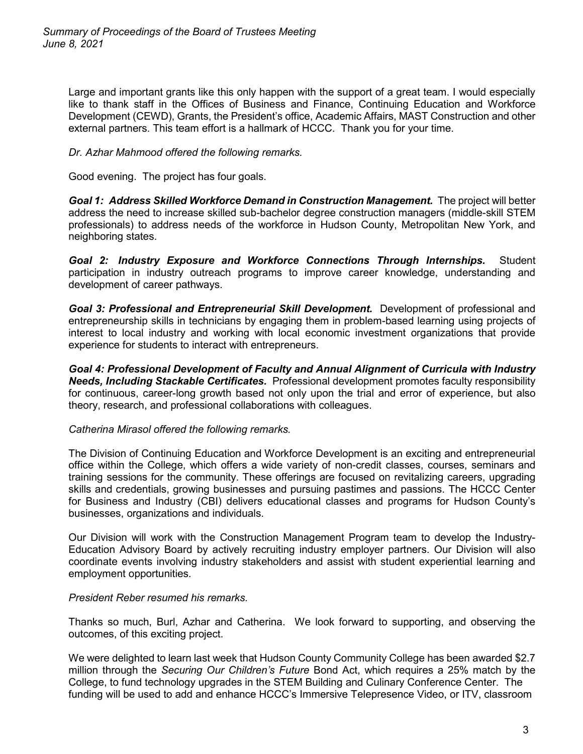Large and important grants like this only happen with the support of a great team. I would especially like to thank staff in the Offices of Business and Finance, Continuing Education and Workforce Development (CEWD), Grants, the President's office, Academic Affairs, MAST Construction and other external partners. This team effort is a hallmark of HCCC. Thank you for your time.

### *Dr. Azhar Mahmood offered the following remarks.*

Good evening. The project has four goals.

*Goal 1: Address Skilled Workforce Demand in Construction Management.* The project will better address the need to increase skilled sub-bachelor degree construction managers (middle-skill STEM professionals) to address needs of the workforce in Hudson County, Metropolitan New York, and neighboring states.

*Goal 2: Industry Exposure and Workforce Connections Through Internships.* Student participation in industry outreach programs to improve career knowledge, understanding and development of career pathways.

*Goal 3: Professional and Entrepreneurial Skill Development.* Development of professional and entrepreneurship skills in technicians by engaging them in problem-based learning using projects of interest to local industry and working with local economic investment organizations that provide experience for students to interact with entrepreneurs.

*Goal 4: Professional Development of Faculty and Annual Alignment of Curricula with Industry Needs, Including Stackable Certificates.* Professional development promotes faculty responsibility for continuous, career-long growth based not only upon the trial and error of experience, but also theory, research, and professional collaborations with colleagues.

#### *Catherina Mirasol offered the following remarks.*

The Division of Continuing Education and Workforce Development is an exciting and entrepreneurial office within the College, which offers a wide variety of non-credit classes, courses, seminars and training sessions for the community. These offerings are focused on revitalizing careers, upgrading skills and credentials, growing businesses and pursuing pastimes and passions. The HCCC Center for Business and Industry (CBI) delivers educational classes and programs for Hudson County's businesses, organizations and individuals.

Our Division will work with the Construction Management Program team to develop the Industry-Education Advisory Board by actively recruiting industry employer partners. Our Division will also coordinate events involving industry stakeholders and assist with student experiential learning and employment opportunities.

#### *President Reber resumed his remarks.*

Thanks so much, Burl, Azhar and Catherina. We look forward to supporting, and observing the outcomes, of this exciting project.

We were delighted to learn last week that Hudson County Community College has been awarded \$2.7 million through the *Securing Our Children's Future* Bond Act, which requires a 25% match by the College, to fund technology upgrades in the STEM Building and Culinary Conference Center. The funding will be used to add and enhance HCCC's Immersive Telepresence Video, or ITV, classroom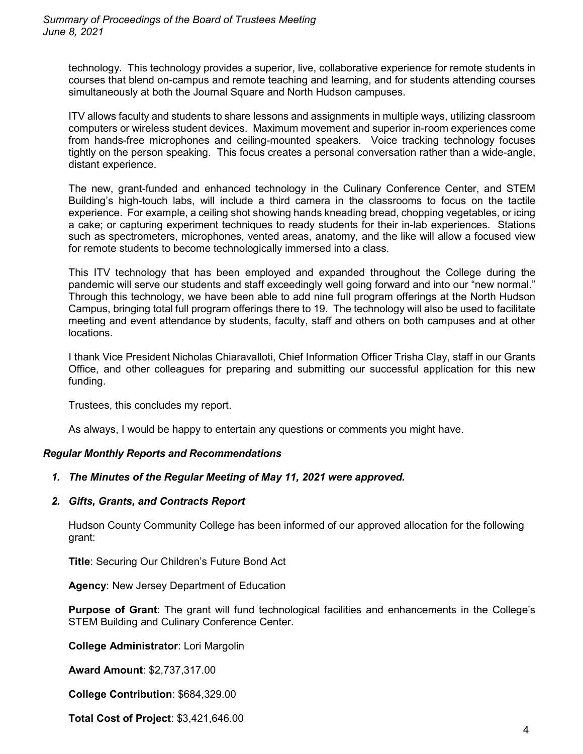technology. This technology provides a superior, live, collaborative experience for remote students in courses that blend on-campus and remote teaching and learning, and for students attending courses simultaneously at both the Journal Square and North Hudson campuses.

ITV allows faculty and students to share lessons and assignments in multiple ways, utilizing classroom computers or wireless student devices. Maximum movement and superior in-room experiences come from hands-free microphones and ceiling-mounted speakers. Voice tracking technology focuses tightly on the person speaking. This focus creates a personal conversation rather than a wide-angle, distant experience.

The new, grant-funded and enhanced technology in the Culinary Conference Center, and STEM Building's high-touch labs, will include a third camera in the classrooms to focus on the tactile experience. For example, a ceiling shot showing hands kneading bread, chopping vegetables, or icing a cake; or capturing experiment techniques to ready students for their in-lab experiences. Stations such as spectrometers, microphones, vented areas, anatomy, and the like will allow a focused view for remote students to become technologically immersed into a class.

This ITV technology that has been employed and expanded throughout the College during the pandemic will serve our students and staff exceedingly well going forward and into our "new normal." Through this technology, we have been able to add nine full program offerings at the North Hudson Campus, bringing total full program offerings there to 19. The technology will also be used to facilitate meeting and event attendance by students, faculty, staff and others on both campuses and at other locations.

I thank Vice President Nicholas Chiaravalloti, Chief Information Officer Trisha Clay, staff in our Grants Office, and other colleagues for preparing and submitting our successful application for this new funding.

Trustees, this concludes my report.

As always, I would be happy to entertain any questions or comments you might have.

#### *Regular Monthly Reports and Recommendations*

#### *1. The Minutes of the Regular Meeting of May 11, 2021 were approved.*

*2. Gifts, Grants, and Contracts Report* 

Hudson County Community College has been informed of our approved allocation for the following grant:

**Title**: Securing Our Children's Future Bond Act

**Agency**: New Jersey Department of Education

**Purpose of Grant**: The grant will fund technological facilities and enhancements in the College's STEM Building and Culinary Conference Center.

**College Administrator**: Lori Margolin

**Award Amount**: \$2,737,317.00

**College Contribution**: \$684,329.00

**Total Cost of Project**: \$3,421,646.00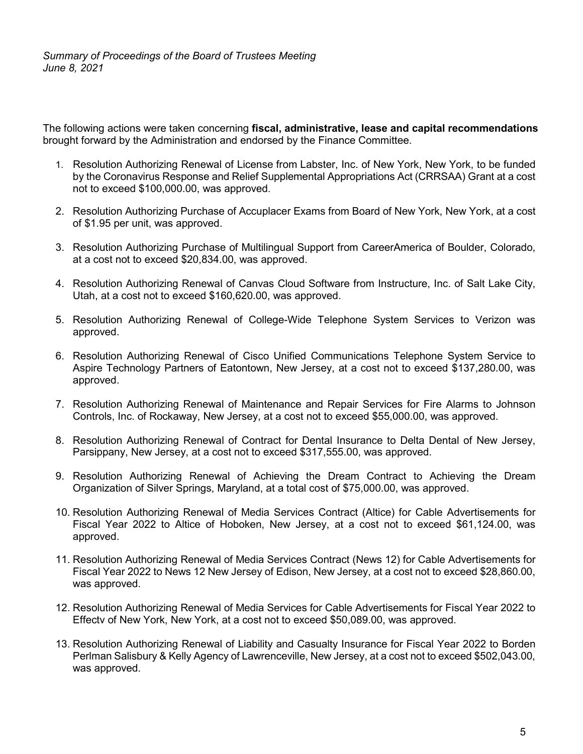The following actions were taken concerning **fiscal, administrative, lease and capital recommendations** brought forward by the Administration and endorsed by the Finance Committee.

- 1. Resolution Authorizing Renewal of License from Labster, Inc. of New York, New York, to be funded by the Coronavirus Response and Relief Supplemental Appropriations Act (CRRSAA) Grant at a cost not to exceed \$100,000.00, was approved.
- 2. Resolution Authorizing Purchase of Accuplacer Exams from Board of New York, New York, at a cost of \$1.95 per unit, was approved.
- 3. Resolution Authorizing Purchase of Multilingual Support from CareerAmerica of Boulder, Colorado, at a cost not to exceed \$20,834.00, was approved.
- 4. Resolution Authorizing Renewal of Canvas Cloud Software from Instructure, Inc. of Salt Lake City, Utah, at a cost not to exceed \$160,620.00, was approved.
- 5. Resolution Authorizing Renewal of College-Wide Telephone System Services to Verizon was approved.
- 6. Resolution Authorizing Renewal of Cisco Unified Communications Telephone System Service to Aspire Technology Partners of Eatontown, New Jersey, at a cost not to exceed \$137,280.00, was approved.
- 7. Resolution Authorizing Renewal of Maintenance and Repair Services for Fire Alarms to Johnson Controls, Inc. of Rockaway, New Jersey, at a cost not to exceed \$55,000.00, was approved.
- 8. Resolution Authorizing Renewal of Contract for Dental Insurance to Delta Dental of New Jersey, Parsippany, New Jersey, at a cost not to exceed \$317,555.00, was approved.
- 9. Resolution Authorizing Renewal of Achieving the Dream Contract to Achieving the Dream Organization of Silver Springs, Maryland, at a total cost of \$75,000.00, was approved.
- 10. Resolution Authorizing Renewal of Media Services Contract (Altice) for Cable Advertisements for Fiscal Year 2022 to Altice of Hoboken, New Jersey, at a cost not to exceed \$61,124.00, was approved.
- 11. Resolution Authorizing Renewal of Media Services Contract (News 12) for Cable Advertisements for Fiscal Year 2022 to News 12 New Jersey of Edison, New Jersey, at a cost not to exceed \$28,860.00, was approved.
- 12. Resolution Authorizing Renewal of Media Services for Cable Advertisements for Fiscal Year 2022 to Effectv of New York, New York, at a cost not to exceed \$50,089.00, was approved.
- 13. Resolution Authorizing Renewal of Liability and Casualty Insurance for Fiscal Year 2022 to Borden Perlman Salisbury & Kelly Agency of Lawrenceville, New Jersey, at a cost not to exceed \$502,043.00, was approved.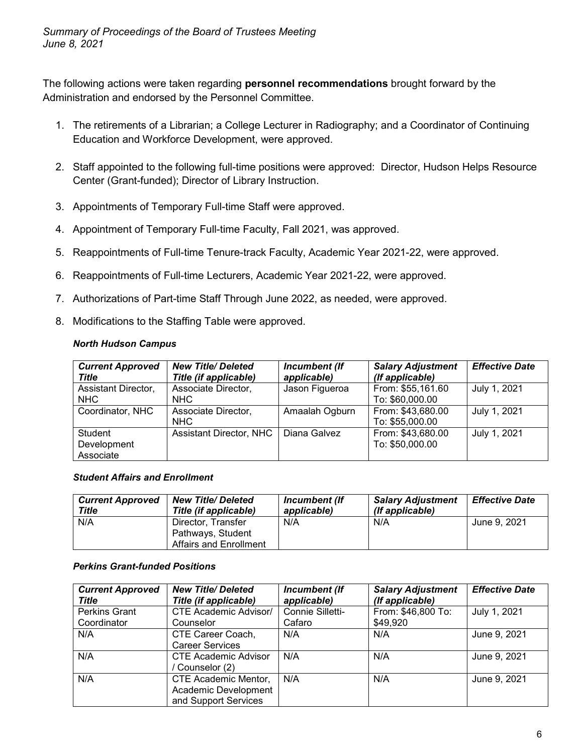The following actions were taken regarding **personnel recommendations** brought forward by the Administration and endorsed by the Personnel Committee.

- 1. The retirements of a Librarian; a College Lecturer in Radiography; and a Coordinator of Continuing Education and Workforce Development, were approved.
- 2. Staff appointed to the following full-time positions were approved: Director, Hudson Helps Resource Center (Grant-funded); Director of Library Instruction.
- 3. Appointments of Temporary Full-time Staff were approved.
- 4. Appointment of Temporary Full-time Faculty, Fall 2021, was approved.
- 5. Reappointments of Full-time Tenure-track Faculty, Academic Year 2021-22, were approved.
- 6. Reappointments of Full-time Lecturers, Academic Year 2021-22, were approved.
- 7. Authorizations of Part-time Staff Through June 2022, as needed, were approved.
- 8. Modifications to the Staffing Table were approved.

## *North Hudson Campus*

| <b>Current Approved</b><br>Title    | <b>New Title/Deleted</b><br>Title (if applicable) | Incumbent (If<br>applicable) | <b>Salary Adjustment</b><br>(If applicable) | <b>Effective Date</b> |
|-------------------------------------|---------------------------------------------------|------------------------------|---------------------------------------------|-----------------------|
| Assistant Director,<br><b>NHC</b>   | Associate Director,<br>NHC                        | Jason Figueroa               | From: \$55,161.60<br>To: \$60,000.00        | July 1, 2021          |
| Coordinator, NHC                    | Associate Director,<br>NHC                        | Amaalah Ogburn               | From: \$43,680.00<br>To: \$55,000.00        | July 1, 2021          |
| Student<br>Development<br>Associate | Assistant Director, NHC                           | Diana Galvez                 | From: \$43,680.00<br>To: \$50,000.00        | July 1, 2021          |

#### *Student Affairs and Enrollment*

| <b>Current Approved</b><br>Title | <b>New Title/ Deleted</b><br>Title (if applicable) | Incumbent (If<br>applicable) | <b>Salary Adjustment</b><br>(If applicable) | <b>Effective Date</b> |
|----------------------------------|----------------------------------------------------|------------------------------|---------------------------------------------|-----------------------|
| N/A                              | Director, Transfer                                 | N/A                          | N/A                                         | June 9, 2021          |
|                                  | Pathways, Student                                  |                              |                                             |                       |
|                                  | Affairs and Enrollment                             |                              |                                             |                       |

#### *Perkins Grant-funded Positions*

| <b>Current Approved</b><br>Title | <b>New Title/Deleted</b><br>Title (if applicable) | Incumbent (If<br>applicable) | <b>Salary Adjustment</b><br>(If applicable) | <b>Effective Date</b> |
|----------------------------------|---------------------------------------------------|------------------------------|---------------------------------------------|-----------------------|
| <b>Perkins Grant</b>             | <b>CTE Academic Advisor/</b>                      | Connie Silletti-             | From: \$46,800 To:                          | July 1, 2021          |
| Coordinator                      | Counselor                                         | Cafaro                       | \$49,920                                    |                       |
| N/A                              | CTE Career Coach,                                 | N/A                          | N/A                                         | June 9, 2021          |
|                                  | <b>Career Services</b>                            |                              |                                             |                       |
| N/A                              | <b>CTE Academic Advisor</b>                       | N/A                          | N/A                                         | June 9, 2021          |
|                                  | Counselor (2)                                     |                              |                                             |                       |
| N/A                              | CTE Academic Mentor,                              | N/A                          | N/A                                         | June 9, 2021          |
|                                  | Academic Development                              |                              |                                             |                       |
|                                  | and Support Services                              |                              |                                             |                       |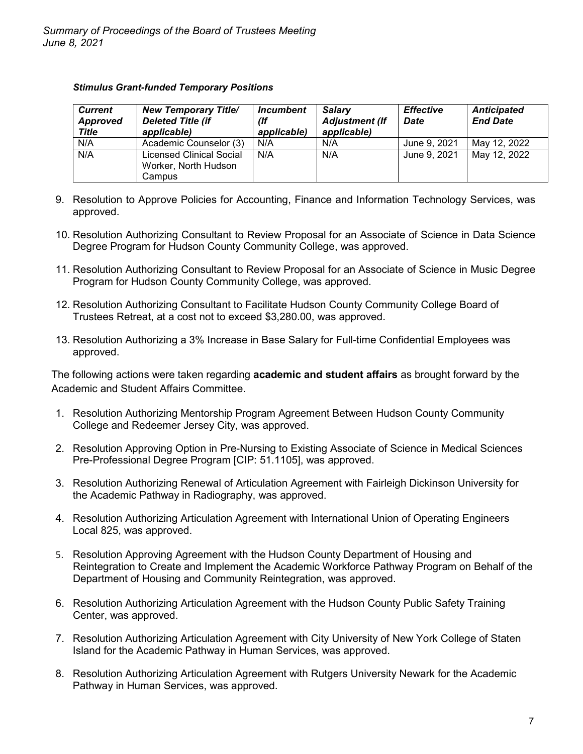#### *Stimulus Grant-funded Temporary Positions*

| <b>Current</b><br>Approved<br><b>Title</b> | <b>New Temporary Title/</b><br><b>Deleted Title (if</b><br>applicable) | <i><u><b>Incumbent</b></u></i><br>(If<br>applicable) | <b>Salary</b><br><b>Adjustment (If</b><br>applicable) | <b>Effective</b><br><b>Date</b> | <b>Anticipated</b><br><b>End Date</b> |
|--------------------------------------------|------------------------------------------------------------------------|------------------------------------------------------|-------------------------------------------------------|---------------------------------|---------------------------------------|
| N/A                                        | Academic Counselor (3)                                                 | N/A                                                  | N/A                                                   | June 9, 2021                    | May 12, 2022                          |
| N/A                                        | <b>Licensed Clinical Social</b><br>Worker, North Hudson<br>Campus      | N/A                                                  | N/A                                                   | June 9, 2021                    | May 12, 2022                          |

- 9. Resolution to Approve Policies for Accounting, Finance and Information Technology Services, was approved.
- 10. Resolution Authorizing Consultant to Review Proposal for an Associate of Science in Data Science Degree Program for Hudson County Community College, was approved.
- 11. Resolution Authorizing Consultant to Review Proposal for an Associate of Science in Music Degree Program for Hudson County Community College, was approved.
- 12. Resolution Authorizing Consultant to Facilitate Hudson County Community College Board of Trustees Retreat, at a cost not to exceed \$3,280.00, was approved.
- 13. Resolution Authorizing a 3% Increase in Base Salary for Full-time Confidential Employees was approved.

The following actions were taken regarding **academic and student affairs** as brought forward by the Academic and Student Affairs Committee.

- 1. Resolution Authorizing Mentorship Program Agreement Between Hudson County Community College and Redeemer Jersey City, was approved.
- 2. Resolution Approving Option in Pre-Nursing to Existing Associate of Science in Medical Sciences Pre-Professional Degree Program [CIP: 51.1105], was approved.
- 3. Resolution Authorizing Renewal of Articulation Agreement with Fairleigh Dickinson University for the Academic Pathway in Radiography, was approved.
- 4. Resolution Authorizing Articulation Agreement with International Union of Operating Engineers Local 825, was approved.
- 5. Resolution Approving Agreement with the Hudson County Department of Housing and Reintegration to Create and Implement the Academic Workforce Pathway Program on Behalf of the Department of Housing and Community Reintegration, was approved.
- 6. Resolution Authorizing Articulation Agreement with the Hudson County Public Safety Training Center, was approved.
- 7. Resolution Authorizing Articulation Agreement with City University of New York College of Staten Island for the Academic Pathway in Human Services, was approved.
- 8. Resolution Authorizing Articulation Agreement with Rutgers University Newark for the Academic Pathway in Human Services, was approved.